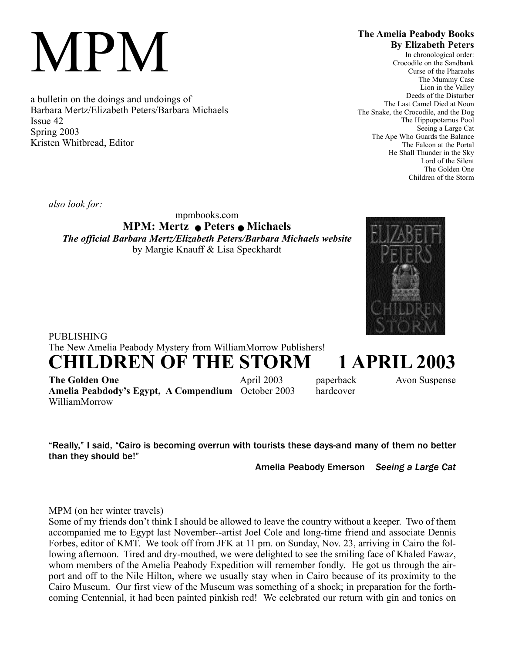# MPM

a bulletin on the doings and undoings of Barbara Mertz/Elizabeth Peters/Barbara Michaels Issue 42 Spring 2003 Kristen Whitbread, Editor

## **The Amelia Peabody Books By Elizabeth Peters**

In chronological order: Crocodile on the Sandbank Curse of the Pharaohs The Mummy Case Lion in the Valley Deeds of the Disturber The Last Camel Died at Noon The Snake, the Crocodile, and the Dog The Hippopotamus Pool Seeing a Large Cat The Ape Who Guards the Balance The Falcon at the Portal He Shall Thunder in the Sky Lord of the Silent The Golden One Children of the Storm

*also look for:*

mpmbooks.com **MPM: Mertz** Q **Peters** Q **Michaels** *The official Barbara Mertz/Elizabeth Peters/Barbara Michaels website* by Margie Knauff & Lisa Speckhardt



# PUBLISHING The New Amelia Peabody Mystery from WilliamMorrow Publishers! **CHILDREN OF THE STORM 1 APRIL 2003**

**The Golden One April 2003 paperback** Avon Suspense **Amelia Peabdody's Egypt, A Compendium** October 2003 hardcover WilliamMorrow

"Really," I said, "Cairo is becoming overrun with tourists these days-and many of them no better than they should be!"

Amelia Peabody Emerson *Seeing a Large Cat*

MPM (on her winter travels)

Some of my friends don't think I should be allowed to leave the country without a keeper. Two of them accompanied me to Egypt last November--artist Joel Cole and long-time friend and associate Dennis Forbes, editor of KMT. We took off from JFK at 11 pm. on Sunday, Nov. 23, arriving in Cairo the following afternoon. Tired and dry-mouthed, we were delighted to see the smiling face of Khaled Fawaz, whom members of the Amelia Peabody Expedition will remember fondly. He got us through the airport and off to the Nile Hilton, where we usually stay when in Cairo because of its proximity to the Cairo Museum. Our first view of the Museum was something of a shock; in preparation for the forthcoming Centennial, it had been painted pinkish red! We celebrated our return with gin and tonics on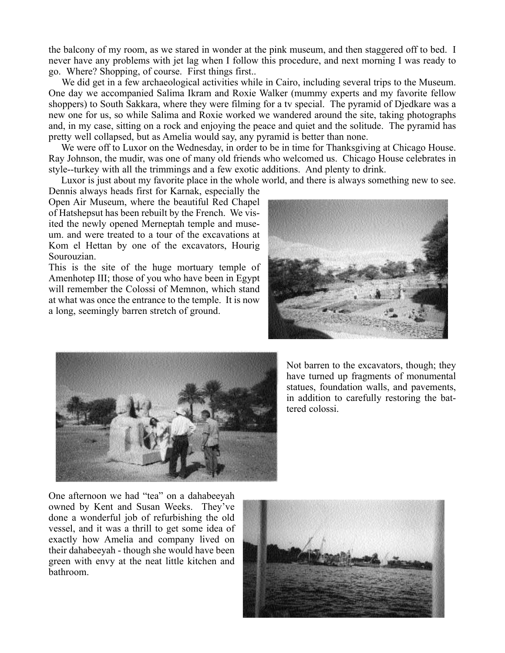the balcony of my room, as we stared in wonder at the pink museum, and then staggered off to bed. I never have any problems with jet lag when I follow this procedure, and next morning I was ready to go. Where? Shopping, of course. First things first..

We did get in a few archaeological activities while in Cairo, including several trips to the Museum. One day we accompanied Salima Ikram and Roxie Walker (mummy experts and my favorite fellow shoppers) to South Sakkara, where they were filming for a tv special. The pyramid of Djedkare was a new one for us, so while Salima and Roxie worked we wandered around the site, taking photographs and, in my case, sitting on a rock and enjoying the peace and quiet and the solitude. The pyramid has pretty well collapsed, but as Amelia would say, any pyramid is better than none.

We were off to Luxor on the Wednesday, in order to be in time for Thanksgiving at Chicago House. Ray Johnson, the mudir, was one of many old friends who welcomed us. Chicago House celebrates in style--turkey with all the trimmings and a few exotic additions. And plenty to drink.

Luxor is just about my favorite place in the whole world, and there is always something new to see.

Dennis always heads first for Karnak, especially the Open Air Museum, where the beautiful Red Chapel of Hatshepsut has been rebuilt by the French. We visited the newly opened Merneptah temple and museum. and were treated to a tour of the excavations at Kom el Hettan by one of the excavators, Hourig Sourouzian.

This is the site of the huge mortuary temple of Amenhotep III; those of you who have been in Egypt will remember the Colossi of Memnon, which stand at what was once the entrance to the temple. It is now a long, seemingly barren stretch of ground.





Not barren to the excavators, though; they have turned up fragments of monumental statues, foundation walls, and pavements, in addition to carefully restoring the battered colossi.

One afternoon we had "tea" on a dahabeeyah owned by Kent and Susan Weeks. They've done a wonderful job of refurbishing the old vessel, and it was a thrill to get some idea of exactly how Amelia and company lived on their dahabeeyah - though she would have been green with envy at the neat little kitchen and bathroom.

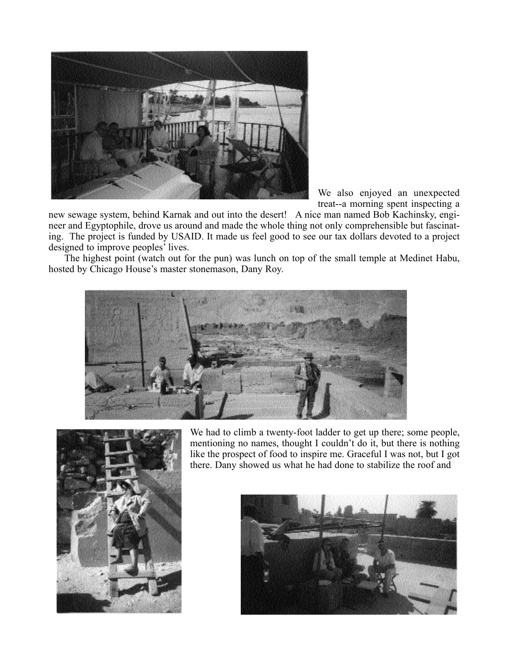

We also enjoyed an unexpected treat--a morning spent inspecting a

new sewage system, behind Karnak and out into the desert! A nice man named Bob Kachinsky, engineer and Egyptophile, drove us around and made the whole thing not only comprehensible but fascinating. The project is funded by USAID. It made us feel good to see our tax dollars devoted to a project designed to improve peoples' lives.

The highest point (watch out for the pun) was lunch on top of the small temple at Medinet Habu, hosted by Chicago House's master stonemason, Dany Roy.





We had to climb a twenty-foot ladder to get up there; some people, mentioning no names, thought I couldn't do it, but there is nothing like the prospect of food to inspire me. Graceful I was not, but I got there. Dany showed us what he had done to stabilize the roof and

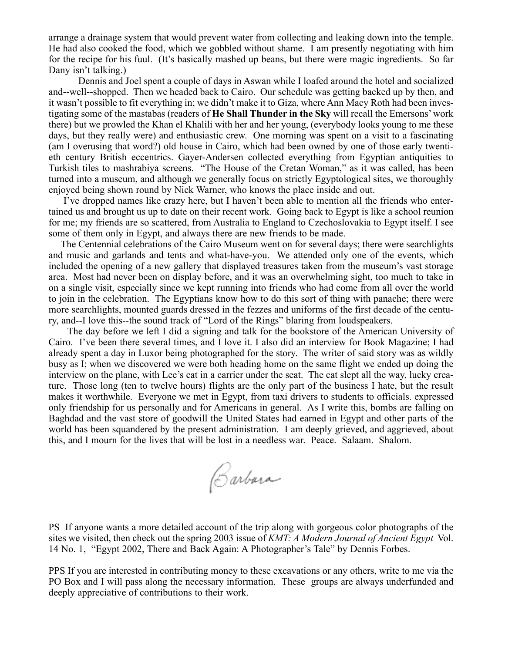arrange a drainage system that would prevent water from collecting and leaking down into the temple. He had also cooked the food, which we gobbled without shame. I am presently negotiating with him for the recipe for his fuul. (It's basically mashed up beans, but there were magic ingredients. So far Dany isn't talking.)

Dennis and Joel spent a couple of days in Aswan while I loafed around the hotel and socialized and--well--shopped. Then we headed back to Cairo. Our schedule was getting backed up by then, and it wasn't possible to fit everything in; we didn't make it to Giza, where Ann Macy Roth had been investigating some of the mastabas (readers of **He Shall Thunder in the Sky** will recall the Emersons' work there) but we prowled the Khan el Khalili with her and her young, (everybody looks young to me these days, but they really were) and enthusiastic crew. One morning was spent on a visit to a fascinating (am I overusing that word?) old house in Cairo, which had been owned by one of those early twentieth century British eccentrics. Gayer-Andersen collected everything from Egyptian antiquities to Turkish tiles to mashrabiya screens. "The House of the Cretan Woman," as it was called, has been turned into a museum, and although we generally focus on strictly Egyptological sites, we thoroughly enjoyed being shown round by Nick Warner, who knows the place inside and out.

I've dropped names like crazy here, but I haven't been able to mention all the friends who entertained us and brought us up to date on their recent work. Going back to Egypt is like a school reunion for me; my friends are so scattered, from Australia to England to Czechoslovakia to Egypt itself. I see some of them only in Egypt, and always there are new friends to be made.

The Centennial celebrations of the Cairo Museum went on for several days; there were searchlights and music and garlands and tents and what-have-you. We attended only one of the events, which included the opening of a new gallery that displayed treasures taken from the museum's vast storage area. Most had never been on display before, and it was an overwhelming sight, too much to take in on a single visit, especially since we kept running into friends who had come from all over the world to join in the celebration. The Egyptians know how to do this sort of thing with panache; there were more searchlights, mounted guards dressed in the fezzes and uniforms of the first decade of the century, and--I love this--the sound track of "Lord of the Rings" blaring from loudspeakers.

The day before we left I did a signing and talk for the bookstore of the American University of Cairo. I've been there several times, and I love it. I also did an interview for Book Magazine; I had already spent a day in Luxor being photographed for the story. The writer of said story was as wildly busy as I; when we discovered we were both heading home on the same flight we ended up doing the interview on the plane, with Lee's cat in a carrier under the seat. The cat slept all the way, lucky creature. Those long (ten to twelve hours) flights are the only part of the business I hate, but the result makes it worthwhile. Everyone we met in Egypt, from taxi drivers to students to officials. expressed only friendship for us personally and for Americans in general. As I write this, bombs are falling on Baghdad and the vast store of goodwill the United States had earned in Egypt and other parts of the world has been squandered by the present administration. I am deeply grieved, and aggrieved, about this, and I mourn for the lives that will be lost in a needless war. Peace. Salaam. Shalom.

Carbora

PS If anyone wants a more detailed account of the trip along with gorgeous color photographs of the sites we visited, then check out the spring 2003 issue of *KMT: A Modern Journal of Ancient Egypt* Vol. 14 No. 1, "Egypt 2002, There and Back Again: A Photographer's Tale" by Dennis Forbes.

PPS If you are interested in contributing money to these excavations or any others, write to me via the PO Box and I will pass along the necessary information. These groups are always underfunded and deeply appreciative of contributions to their work.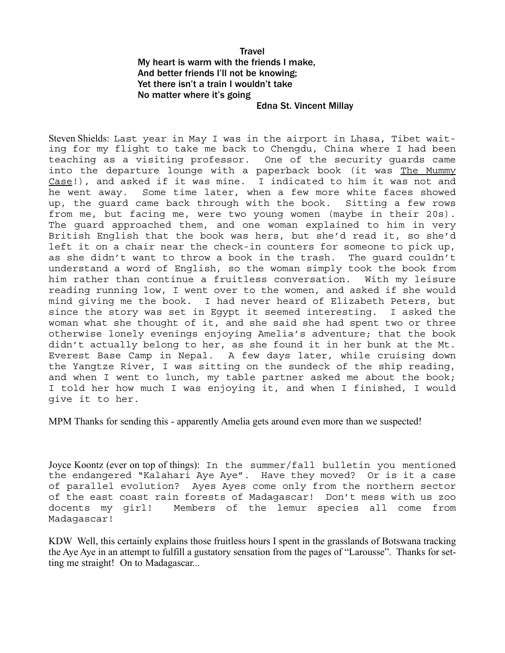### Travel My heart is warm with the friends I make, And better friends I'll not be knowing; Yet there isn't a train I wouldn't take No matter where it's going Edna St. Vincent Millay

Steven Shields: Last year in May I was in the airport in Lhasa, Tibet waiting for my flight to take me back to Chengdu, China where I had been teaching as a visiting professor. One of the security guards came into the departure lounge with a paperback book (it was The Mummy Case!), and asked if it was mine. I indicated to him it was not and he went away. Some time later, when a few more white faces showed up, the guard came back through with the book. Sitting a few rows from me, but facing me, were two young women (maybe in their 20s). The guard approached them, and one woman explained to him in very British English that the book was hers, but she'd read it, so she'd left it on a chair near the check-in counters for someone to pick up, as she didn't want to throw a book in the trash. The guard couldn't understand a word of English, so the woman simply took the book from him rather than continue a fruitless conversation. With my leisure reading running low, I went over to the women, and asked if she would mind giving me the book. I had never heard of Elizabeth Peters, but since the story was set in Egypt it seemed interesting. I asked the woman what she thought of it, and she said she had spent two or three otherwise lonely evenings enjoying Amelia's adventure; that the book didn't actually belong to her, as she found it in her bunk at the Mt. Everest Base Camp in Nepal. A few days later, while cruising down the Yangtze River, I was sitting on the sundeck of the ship reading, and when I went to lunch, my table partner asked me about the book; I told her how much I was enjoying it, and when I finished, I would give it to her.

MPM Thanks for sending this - apparently Amelia gets around even more than we suspected!

Joyce Koontz (ever on top of things): In the summer/fall bulletin you mentioned the endangered "Kalahari Aye Aye". Have they moved? Or is it a case of parallel evolution? Ayes Ayes come only from the northern sector of the east coast rain forests of Madagascar! Don't mess with us zoo docents my girl! Members of the lemur species all come from Madagascar!

KDW Well, this certainly explains those fruitless hours I spent in the grasslands of Botswana tracking the Aye Aye in an attempt to fulfill a gustatory sensation from the pages of "Larousse". Thanks for setting me straight! On to Madagascar...